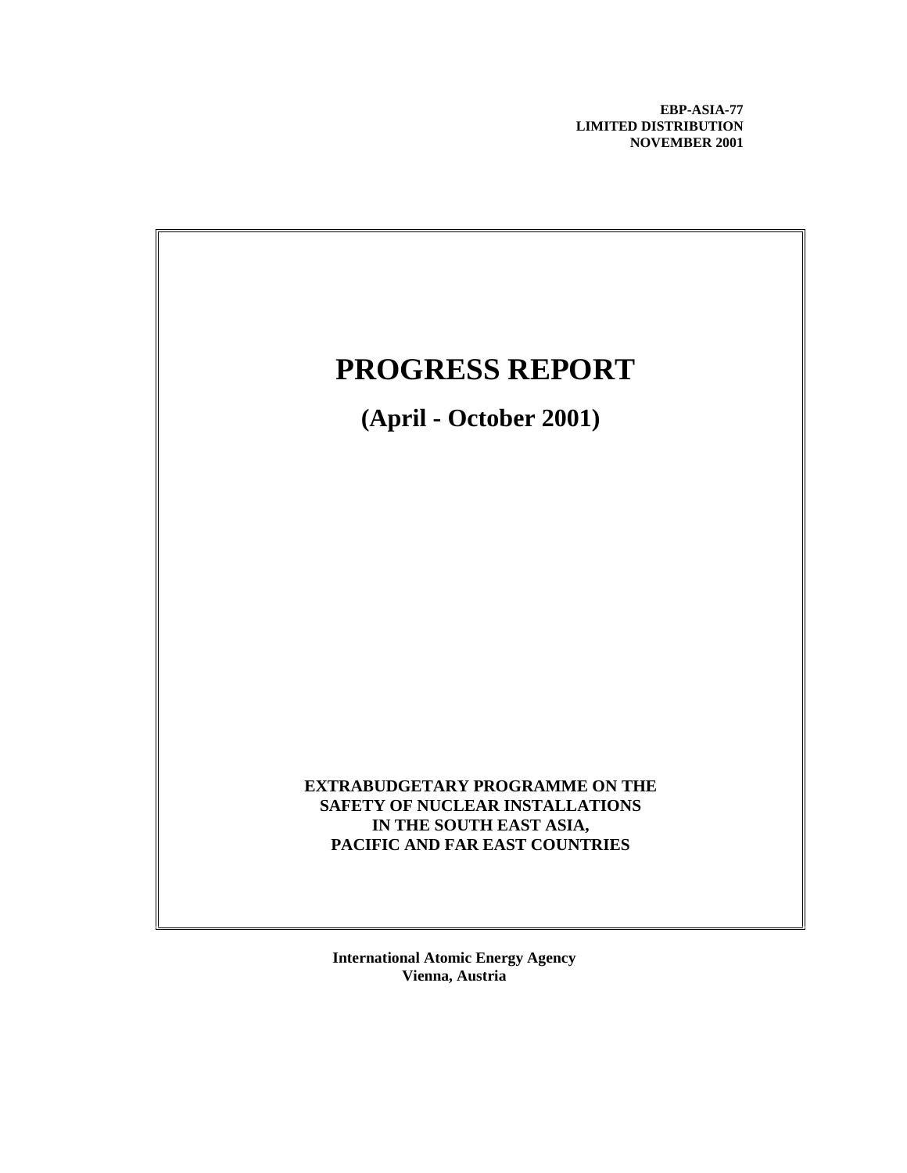**EBP-ASIA-77 LIMITED DISTRIBUTION NOVEMBER 2001**



**International Atomic Energy Agency Vienna, Austria**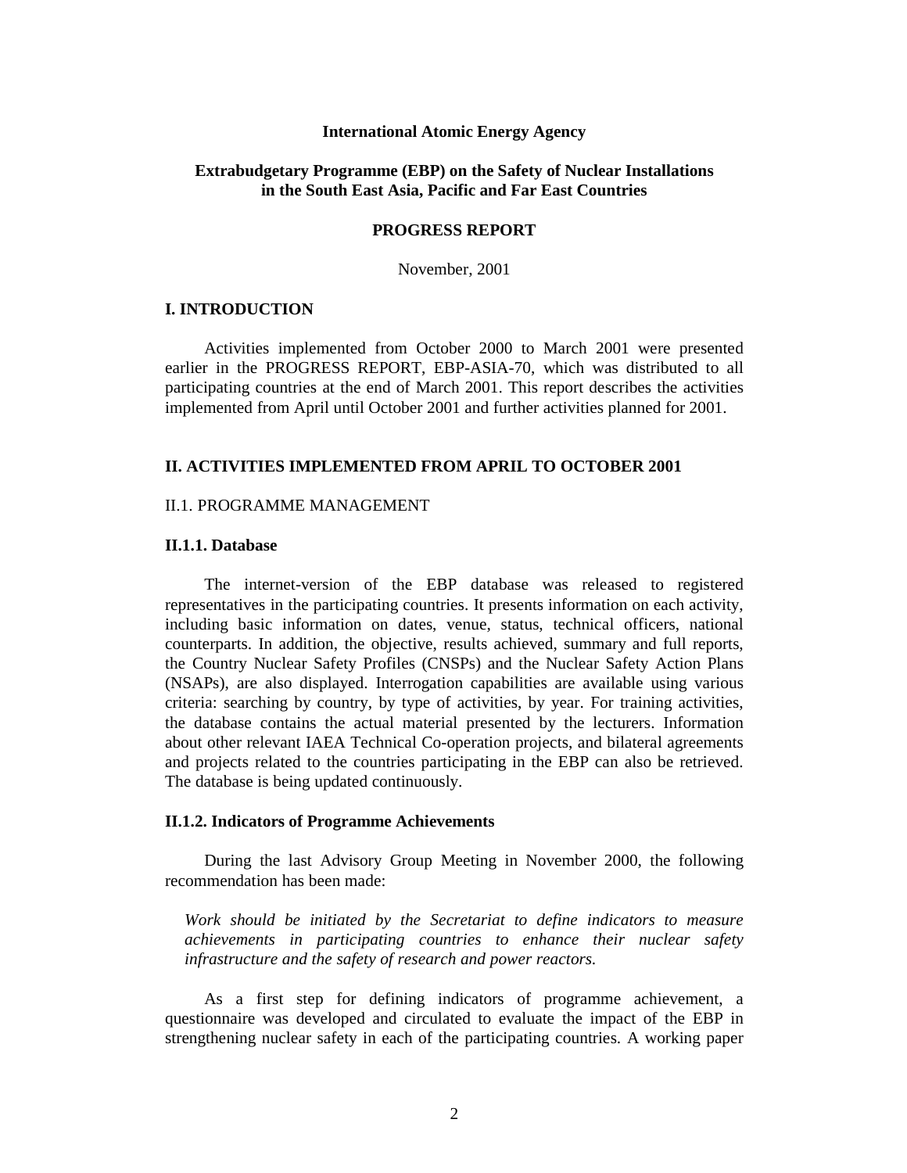#### **International Atomic Energy Agency**

## **Extrabudgetary Programme (EBP) on the Safety of Nuclear Installations in the South East Asia, Pacific and Far East Countries**

### **PROGRESS REPORT**

November, 2001

## **I. INTRODUCTION**

Activities implemented from October 2000 to March 2001 were presented earlier in the PROGRESS REPORT, EBP-ASIA-70, which was distributed to all participating countries at the end of March 2001. This report describes the activities implemented from April until October 2001 and further activities planned for 2001.

## **II. ACTIVITIES IMPLEMENTED FROM APRIL TO OCTOBER 2001**

## II.1. PROGRAMME MANAGEMENT

## **II.1.1. Database**

The internet-version of the EBP database was released to registered representatives in the participating countries. It presents information on each activity, including basic information on dates, venue, status, technical officers, national counterparts. In addition, the objective, results achieved, summary and full reports, the Country Nuclear Safety Profiles (CNSPs) and the Nuclear Safety Action Plans (NSAPs), are also displayed. Interrogation capabilities are available using various criteria: searching by country, by type of activities, by year. For training activities, the database contains the actual material presented by the lecturers. Information about other relevant IAEA Technical Co-operation projects, and bilateral agreements and projects related to the countries participating in the EBP can also be retrieved. The database is being updated continuously.

## **II.1.2. Indicators of Programme Achievements**

During the last Advisory Group Meeting in November 2000, the following recommendation has been made:

*Work should be initiated by the Secretariat to define indicators to measure achievements in participating countries to enhance their nuclear safety infrastructure and the safety of research and power reactors.*

As a first step for defining indicators of programme achievement, a questionnaire was developed and circulated to evaluate the impact of the EBP in strengthening nuclear safety in each of the participating countries. A working paper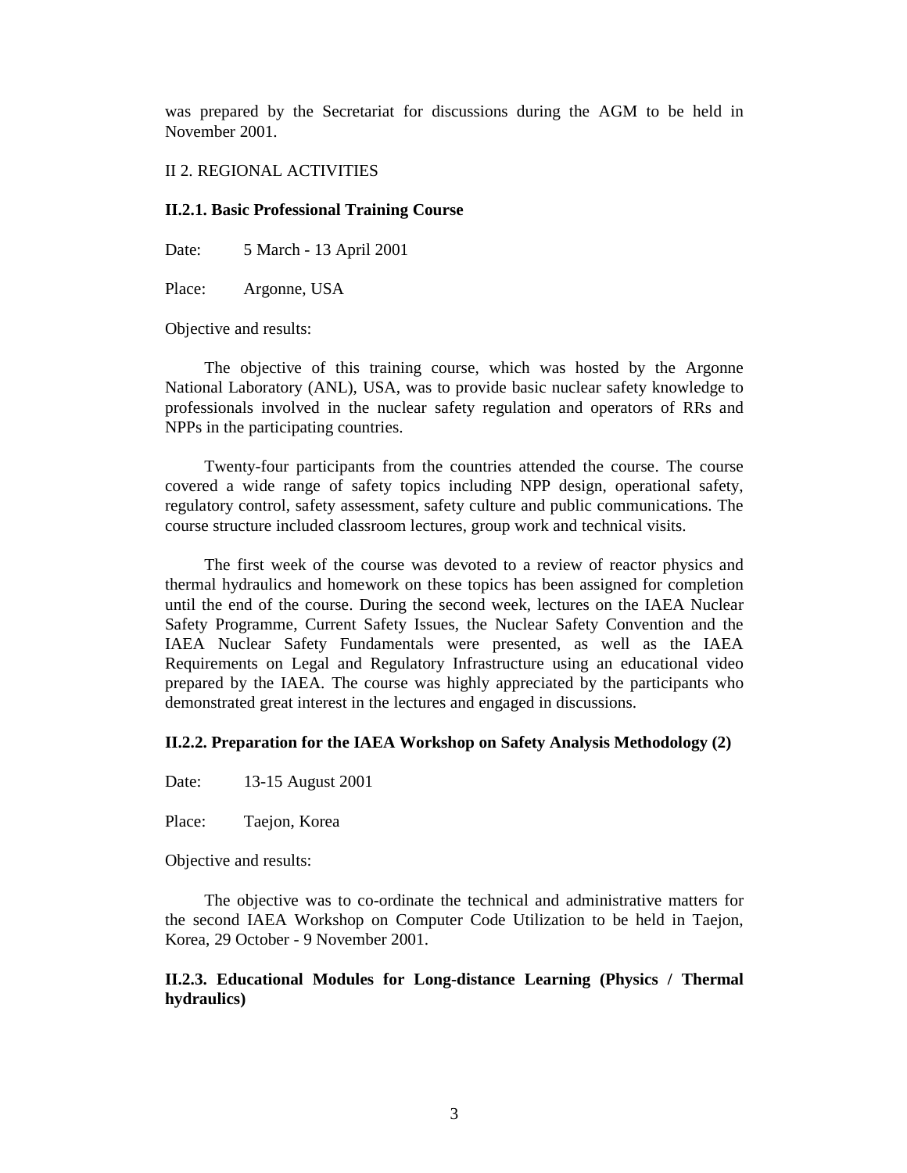was prepared by the Secretariat for discussions during the AGM to be held in November 2001.

### II 2. REGIONAL ACTIVITIES

#### **II.2.1. Basic Professional Training Course**

Date: 5 March - 13 April 2001

Place: Argonne, USA

Objective and results:

The objective of this training course, which was hosted by the Argonne National Laboratory (ANL), USA, was to provide basic nuclear safety knowledge to professionals involved in the nuclear safety regulation and operators of RRs and NPPs in the participating countries.

Twenty-four participants from the countries attended the course. The course covered a wide range of safety topics including NPP design, operational safety, regulatory control, safety assessment, safety culture and public communications. The course structure included classroom lectures, group work and technical visits.

The first week of the course was devoted to a review of reactor physics and thermal hydraulics and homework on these topics has been assigned for completion until the end of the course. During the second week, lectures on the IAEA Nuclear Safety Programme, Current Safety Issues, the Nuclear Safety Convention and the IAEA Nuclear Safety Fundamentals were presented, as well as the IAEA Requirements on Legal and Regulatory Infrastructure using an educational video prepared by the IAEA. The course was highly appreciated by the participants who demonstrated great interest in the lectures and engaged in discussions.

#### **II.2.2. Preparation for the IAEA Workshop on Safety Analysis Methodology (2)**

Date: 13-15 August 2001

Place: Taejon, Korea

Objective and results:

The objective was to co-ordinate the technical and administrative matters for the second IAEA Workshop on Computer Code Utilization to be held in Taejon, Korea, 29 October - 9 November 2001.

**II.2.3. Educational Modules for Long-distance Learning (Physics / Thermal hydraulics)**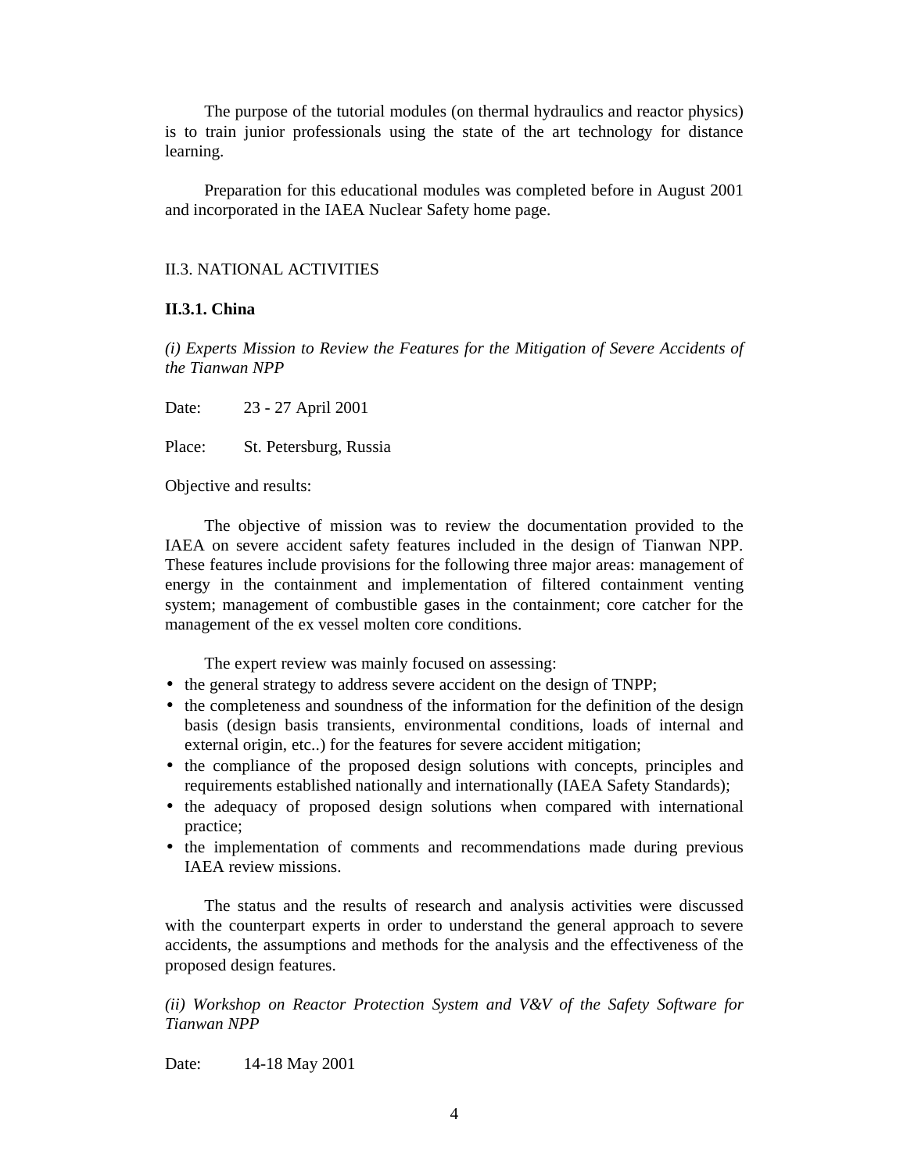The purpose of the tutorial modules (on thermal hydraulics and reactor physics) is to train junior professionals using the state of the art technology for distance learning.

Preparation for this educational modules was completed before in August 2001 and incorporated in the IAEA Nuclear Safety home page.

## II.3. NATIONAL ACTIVITIES

## **II.3.1. China**

*(i) Experts Mission to Review the Features for the Mitigation of Severe Accidents of the Tianwan NPP* 

Date: 23 - 27 April 2001

Place: St. Petersburg, Russia

Objective and results:

The objective of mission was to review the documentation provided to the IAEA on severe accident safety features included in the design of Tianwan NPP. These features include provisions for the following three major areas: management of energy in the containment and implementation of filtered containment venting system; management of combustible gases in the containment; core catcher for the management of the ex vessel molten core conditions.

The expert review was mainly focused on assessing:

- the general strategy to address severe accident on the design of TNPP;
- the completeness and soundness of the information for the definition of the design basis (design basis transients, environmental conditions, loads of internal and external origin, etc..) for the features for severe accident mitigation;
- the compliance of the proposed design solutions with concepts, principles and requirements established nationally and internationally (IAEA Safety Standards);
- the adequacy of proposed design solutions when compared with international practice;
- the implementation of comments and recommendations made during previous IAEA review missions.

The status and the results of research and analysis activities were discussed with the counterpart experts in order to understand the general approach to severe accidents, the assumptions and methods for the analysis and the effectiveness of the proposed design features.

*(ii) Workshop on Reactor Protection System and V&V of the Safety Software for Tianwan NPP* 

Date: 14-18 May 2001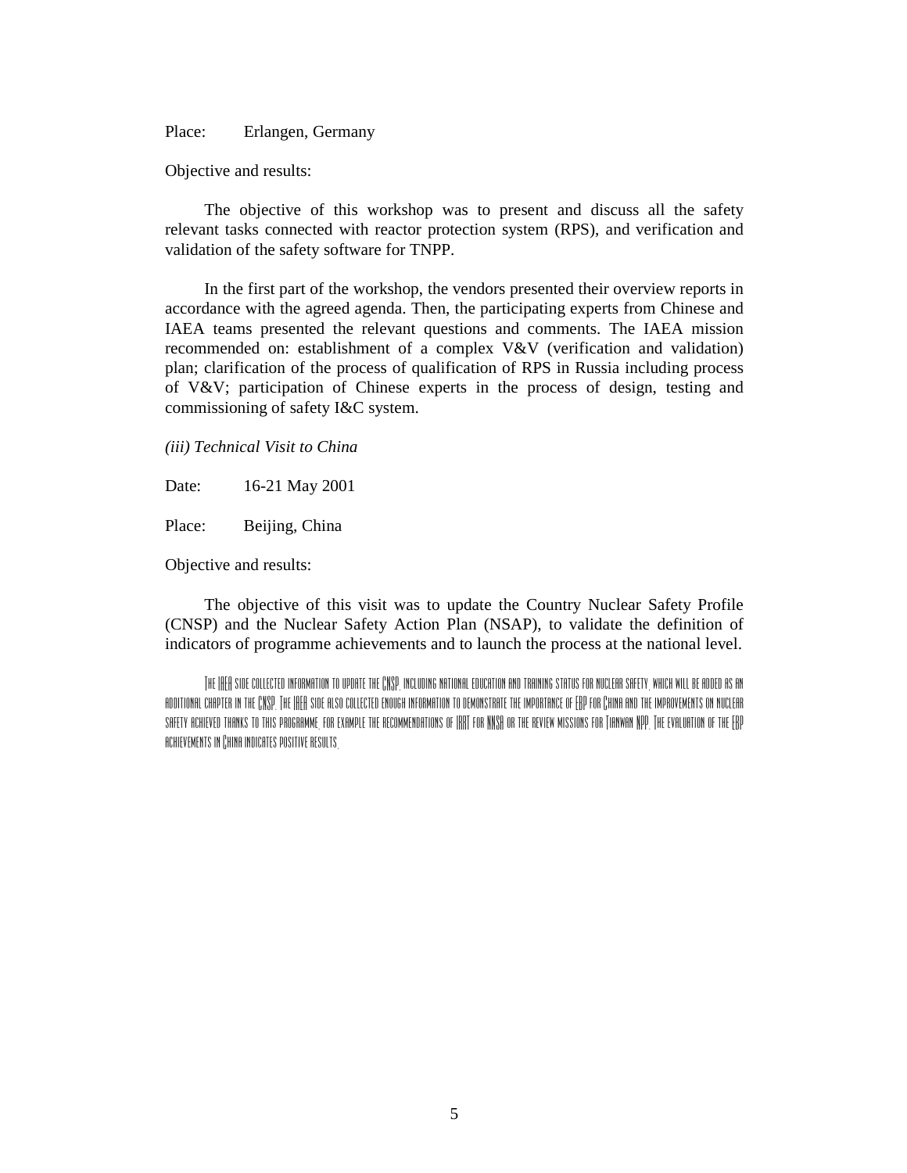Place: Erlangen, Germany

Objective and results:

The objective of this workshop was to present and discuss all the safety relevant tasks connected with reactor protection system (RPS), and verification and validation of the safety software for TNPP.

In the first part of the workshop, the vendors presented their overview reports in accordance with the agreed agenda. Then, the participating experts from Chinese and IAEA teams presented the relevant questions and comments. The IAEA mission recommended on: establishment of a complex V&V (verification and validation) plan; clarification of the process of qualification of RPS in Russia including process of V&V; participation of Chinese experts in the process of design, testing and commissioning of safety I&C system.

*(iii) Technical Visit to China* 

Date: 16-21 May 2001

Place: Beijing, China

Objective and results:

The objective of this visit was to update the Country Nuclear Safety Profile (CNSP) and the Nuclear Safety Action Plan (NSAP), to validate the definition of indicators of programme achievements and to launch the process at the national level.

THE IAEA SIDE COLLECTED INFORMATION TO UPDATE THE CNSP, INCLUDING NATIONAL EDUCATION AND TRAINING STATUS FOR NUCLEAR SAFETY, WHICH WILL BE ADDED AS AN additional chapter in the CNSP. The IAEA side also collected enough information to demonstrate the importance of EBP for China and the improvements on nuclear safety achieved thanks to this programme, for example the recommendations of IRRT for NNSA or the review missions for Tianwan NPP. The evaluation of the EBP achievements in China indicates positive results.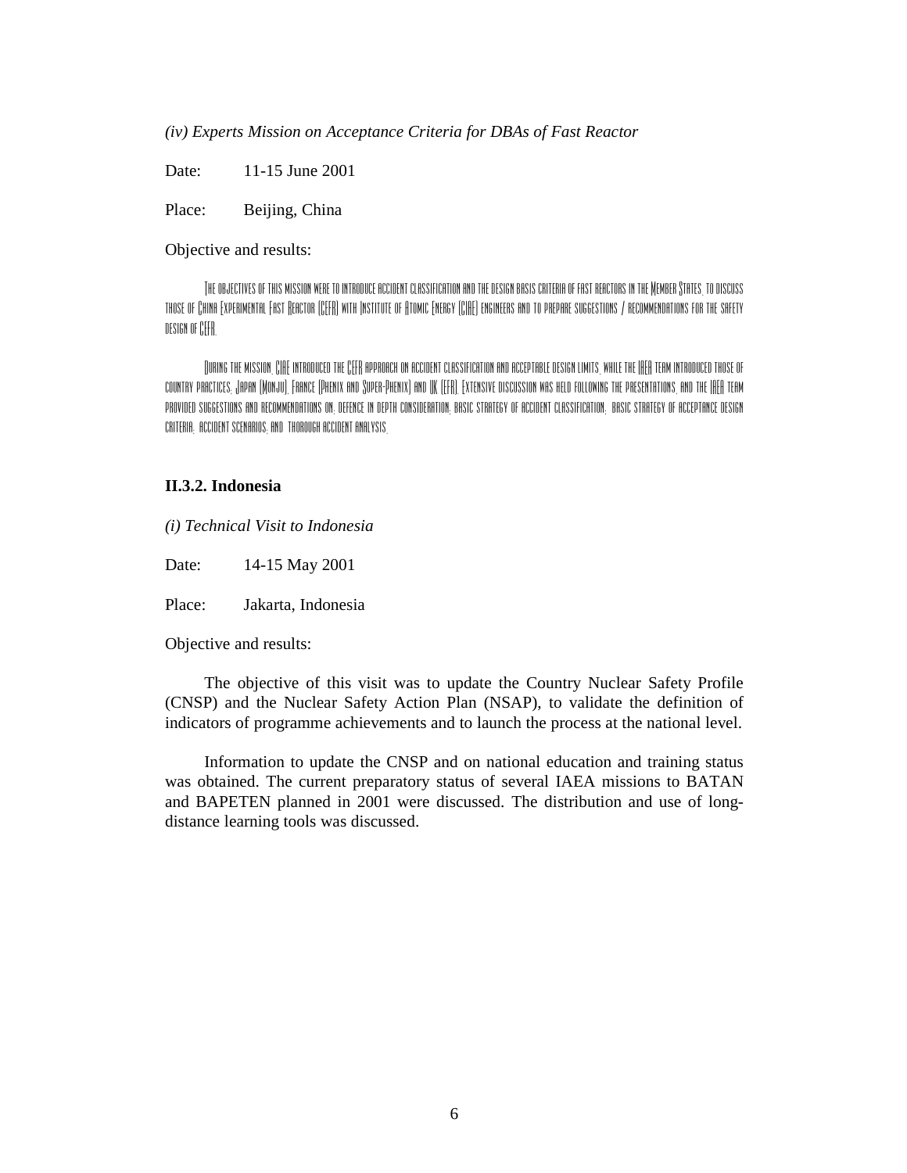*(iv) Experts Mission on Acceptance Criteria for DBAs of Fast Reactor* 

Date: 11-15 June 2001

Place: Beijing, China

Objective and results:

The objectives of this mission were to introduce accident classification and the design basis criteria of fast reactors in the Member States, to discuss those of China Experimental Fast Reactor (CEFR) with Institute of Atomic Energy (CIAE) engineers and to prepare suggestions / recommendations for the safety design of CEFR.

During the mission, CIAE introduced the CEFR approach on accident classification and acceptable design limits, while the IAEA team introduced those of country practices; Japan (Monju), France (Phenix and Super-Phenix) and UK (EFR). Extensive discussion was held following the presentations, and the IAEA team provided suggestions and recommendations on: defence in depth consideration; basic strategy of accident classification; basic strategy of acceptance design criteria; accident scenarios; and thorough accident analysis.

## **II.3.2. Indonesia**

*(i) Technical Visit to Indonesia* 

Date: 14-15 May 2001

Place: Jakarta, Indonesia

Objective and results:

The objective of this visit was to update the Country Nuclear Safety Profile (CNSP) and the Nuclear Safety Action Plan (NSAP), to validate the definition of indicators of programme achievements and to launch the process at the national level.

Information to update the CNSP and on national education and training status was obtained. The current preparatory status of several IAEA missions to BATAN and BAPETEN planned in 2001 were discussed. The distribution and use of longdistance learning tools was discussed.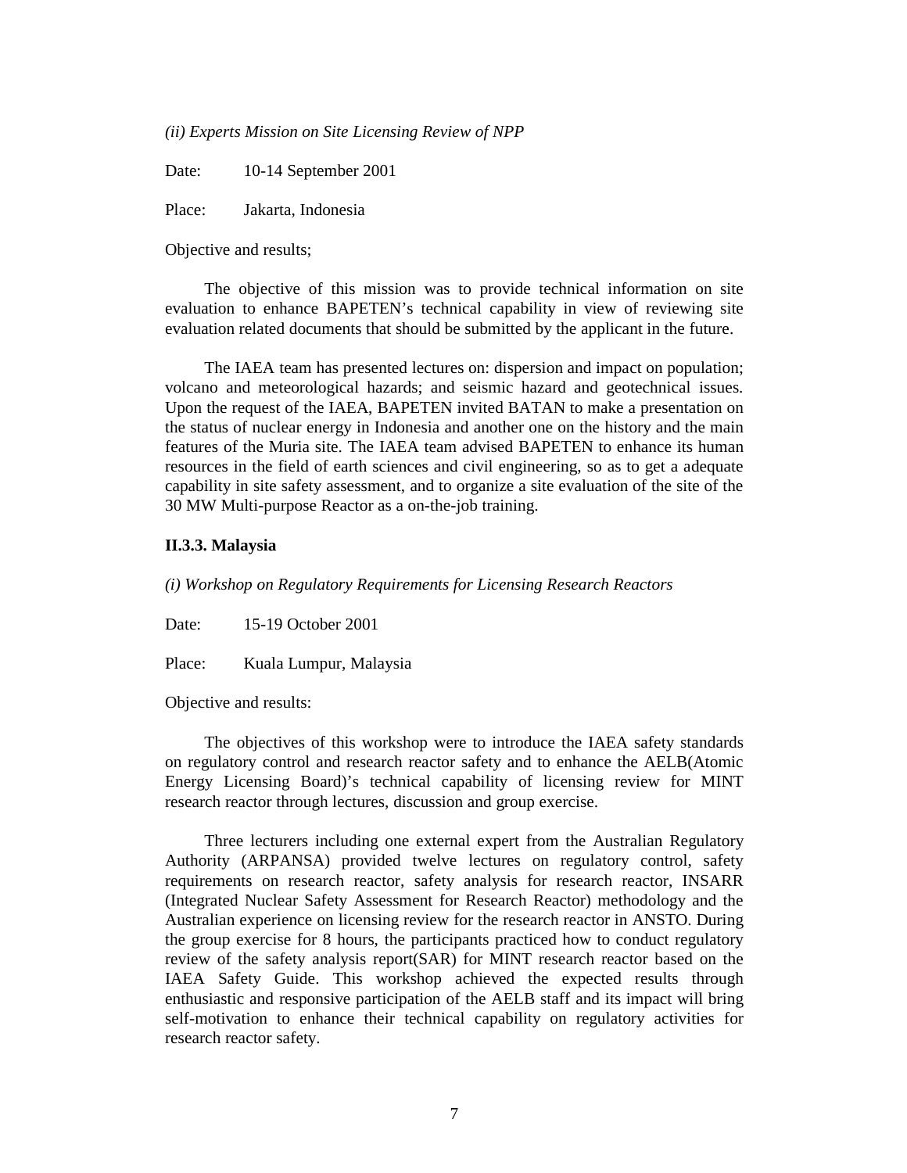*(ii) Experts Mission on Site Licensing Review of NPP* 

Date: 10-14 September 2001

Place: Jakarta, Indonesia

Objective and results;

The objective of this mission was to provide technical information on site evaluation to enhance BAPETEN's technical capability in view of reviewing site evaluation related documents that should be submitted by the applicant in the future.

The IAEA team has presented lectures on: dispersion and impact on population; volcano and meteorological hazards; and seismic hazard and geotechnical issues. Upon the request of the IAEA, BAPETEN invited BATAN to make a presentation on the status of nuclear energy in Indonesia and another one on the history and the main features of the Muria site. The IAEA team advised BAPETEN to enhance its human resources in the field of earth sciences and civil engineering, so as to get a adequate capability in site safety assessment, and to organize a site evaluation of the site of the 30 MW Multi-purpose Reactor as a on-the-job training.

### **II.3.3. Malaysia**

*(i) Workshop on Regulatory Requirements for Licensing Research Reactors* 

Date: 15-19 October 2001

Place: Kuala Lumpur, Malaysia

Objective and results:

The objectives of this workshop were to introduce the IAEA safety standards on regulatory control and research reactor safety and to enhance the AELB(Atomic Energy Licensing Board)'s technical capability of licensing review for MINT research reactor through lectures, discussion and group exercise.

Three lecturers including one external expert from the Australian Regulatory Authority (ARPANSA) provided twelve lectures on regulatory control, safety requirements on research reactor, safety analysis for research reactor, INSARR (Integrated Nuclear Safety Assessment for Research Reactor) methodology and the Australian experience on licensing review for the research reactor in ANSTO. During the group exercise for 8 hours, the participants practiced how to conduct regulatory review of the safety analysis report(SAR) for MINT research reactor based on the IAEA Safety Guide. This workshop achieved the expected results through enthusiastic and responsive participation of the AELB staff and its impact will bring self-motivation to enhance their technical capability on regulatory activities for research reactor safety.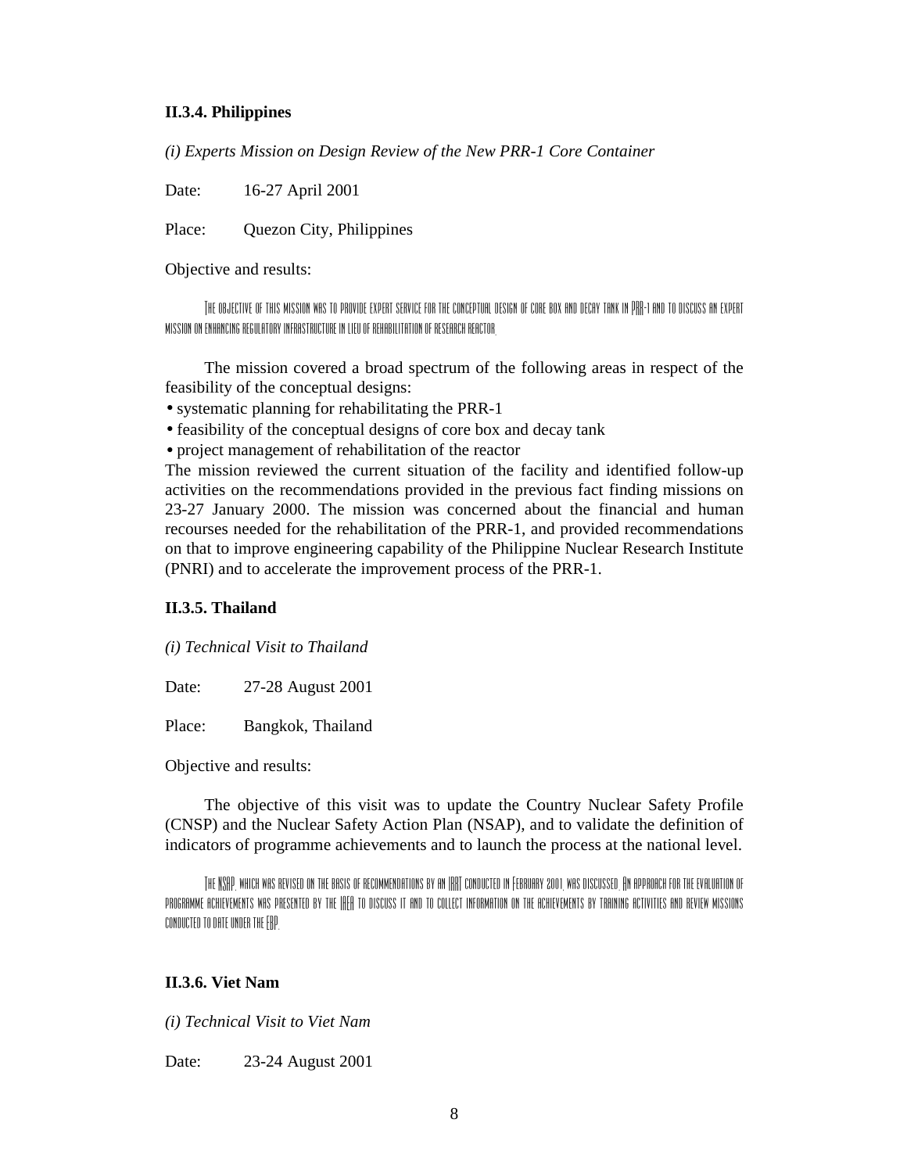### **II.3.4. Philippines**

*(i) Experts Mission on Design Review of the New PRR-1 Core Container* 

Date: 16-27 April 2001

Place: Quezon City, Philippines

Objective and results:

The objective of this mission was to provide expert service for the conceptual design of core box and decay tank in PRR-1 and to discuss an expert mission on enhancing regulatory infrastructure in lieu of rehabilitation of research reactor.

The mission covered a broad spectrum of the following areas in respect of the feasibility of the conceptual designs:

• systematic planning for rehabilitating the PRR-1

- feasibility of the conceptual designs of core box and decay tank
- project management of rehabilitation of the reactor

The mission reviewed the current situation of the facility and identified follow-up activities on the recommendations provided in the previous fact finding missions on 23-27 January 2000. The mission was concerned about the financial and human recourses needed for the rehabilitation of the PRR-1, and provided recommendations on that to improve engineering capability of the Philippine Nuclear Research Institute (PNRI) and to accelerate the improvement process of the PRR-1.

## **II.3.5. Thailand**

*(i) Technical Visit to Thailand* 

Date: 27-28 August 2001

Place: Bangkok, Thailand

Objective and results:

The objective of this visit was to update the Country Nuclear Safety Profile (CNSP) and the Nuclear Safety Action Plan (NSAP), and to validate the definition of indicators of programme achievements and to launch the process at the national level.

The NSAP, which was revised on the basis of recommendations by an IRRT conducted in February 2001, was discussed. An approach for the evaluation of PROGRAMME ACHIEVEMENTS WAS PRESENTED BY THE IAEA TO DISCUSS IT AND TO COLLECT INFORMATION ON THE ACHIEVEMENTS BY TRAINING ACTIVITIES AND REVIEW MISSIONS conducted to date under the EBP.

### **II.3.6. Viet Nam**

*(i) Technical Visit to Viet Nam* 

Date: 23-24 August 2001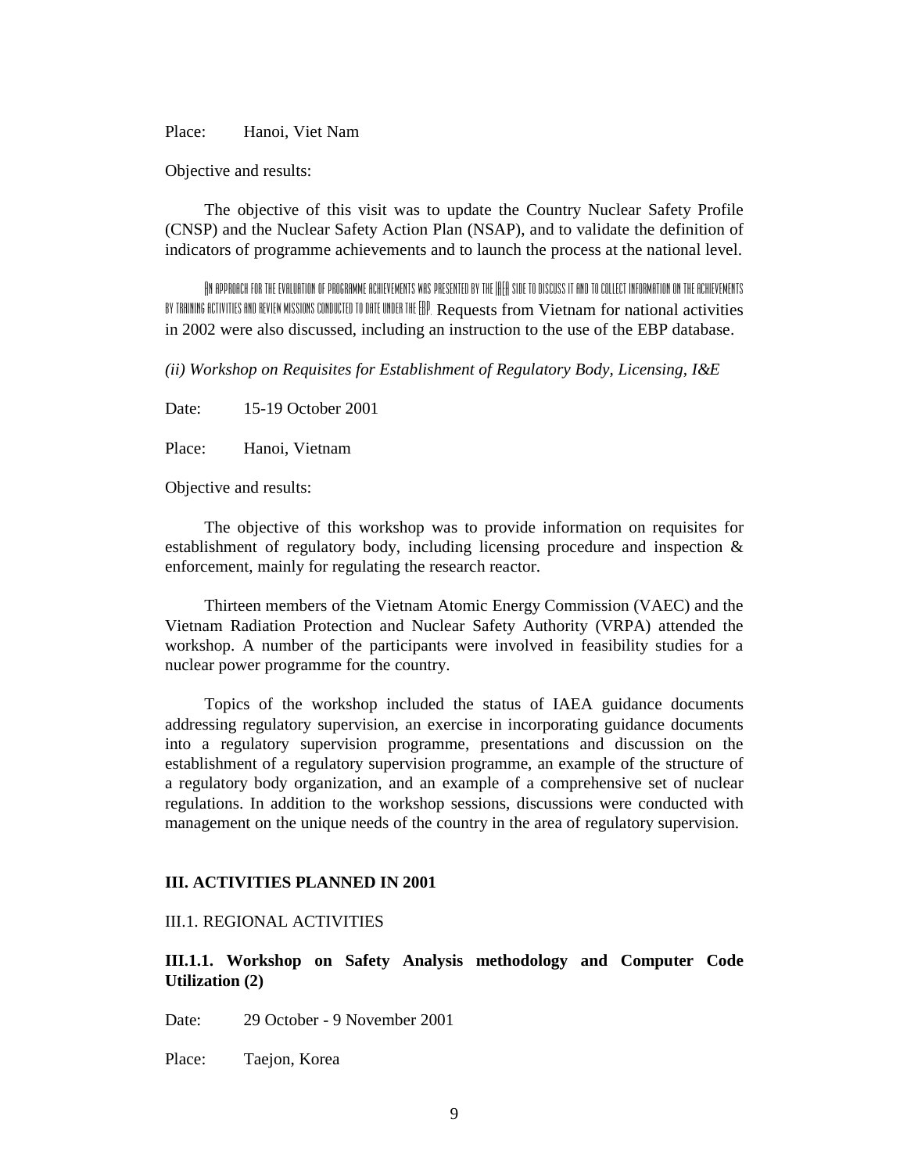Place: Hanoi, Viet Nam

Objective and results:

The objective of this visit was to update the Country Nuclear Safety Profile (CNSP) and the Nuclear Safety Action Plan (NSAP), and to validate the definition of indicators of programme achievements and to launch the process at the national level.

An approach for the evaluation of programme achievements was presented by the IAEA side to discuss it and to collect information on the achievements by training activities and review missions conducted to date under the EBP. Requests from Vietnam for national activities in 2002 were also discussed, including an instruction to the use of the EBP database.

*(ii) Workshop on Requisites for Establishment of Regulatory Body, Licensing, I&E* 

Date: 15-19 October 2001

Place: Hanoi, Vietnam

Objective and results:

The objective of this workshop was to provide information on requisites for establishment of regulatory body, including licensing procedure and inspection & enforcement, mainly for regulating the research reactor.

Thirteen members of the Vietnam Atomic Energy Commission (VAEC) and the Vietnam Radiation Protection and Nuclear Safety Authority (VRPA) attended the workshop. A number of the participants were involved in feasibility studies for a nuclear power programme for the country.

Topics of the workshop included the status of IAEA guidance documents addressing regulatory supervision, an exercise in incorporating guidance documents into a regulatory supervision programme, presentations and discussion on the establishment of a regulatory supervision programme, an example of the structure of a regulatory body organization, and an example of a comprehensive set of nuclear regulations. In addition to the workshop sessions, discussions were conducted with management on the unique needs of the country in the area of regulatory supervision.

#### **III. ACTIVITIES PLANNED IN 2001**

## III.1. REGIONAL ACTIVITIES

**III.1.1. Workshop on Safety Analysis methodology and Computer Code Utilization (2)** 

Date: 29 October - 9 November 2001

Place: Taejon, Korea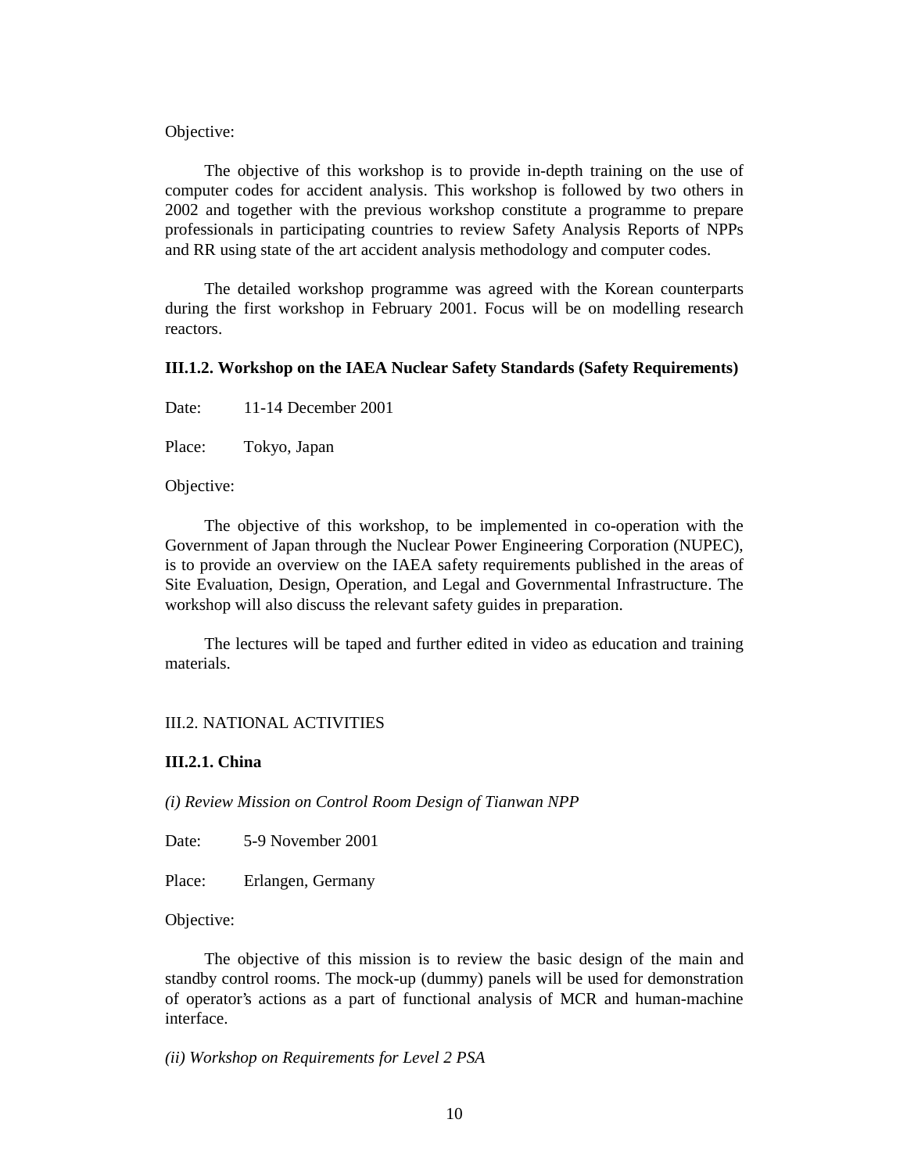Objective:

The objective of this workshop is to provide in-depth training on the use of computer codes for accident analysis. This workshop is followed by two others in 2002 and together with the previous workshop constitute a programme to prepare professionals in participating countries to review Safety Analysis Reports of NPPs and RR using state of the art accident analysis methodology and computer codes.

The detailed workshop programme was agreed with the Korean counterparts during the first workshop in February 2001. Focus will be on modelling research reactors.

#### **III.1.2. Workshop on the IAEA Nuclear Safety Standards (Safety Requirements)**

Date: 11-14 December 2001

Place: Tokyo, Japan

Objective:

The objective of this workshop, to be implemented in co-operation with the Government of Japan through the Nuclear Power Engineering Corporation (NUPEC), is to provide an overview on the IAEA safety requirements published in the areas of Site Evaluation, Design, Operation, and Legal and Governmental Infrastructure. The workshop will also discuss the relevant safety guides in preparation.

The lectures will be taped and further edited in video as education and training materials.

#### III.2. NATIONAL ACTIVITIES

## **III.2.1. China**

*(i) Review Mission on Control Room Design of Tianwan NPP* 

Date: 5-9 November 2001

Place: Erlangen, Germany

Objective:

The objective of this mission is to review the basic design of the main and standby control rooms. The mock-up (dummy) panels will be used for demonstration of operator's actions as a part of functional analysis of MCR and human-machine interface.

*(ii) Workshop on Requirements for Level 2 PSA*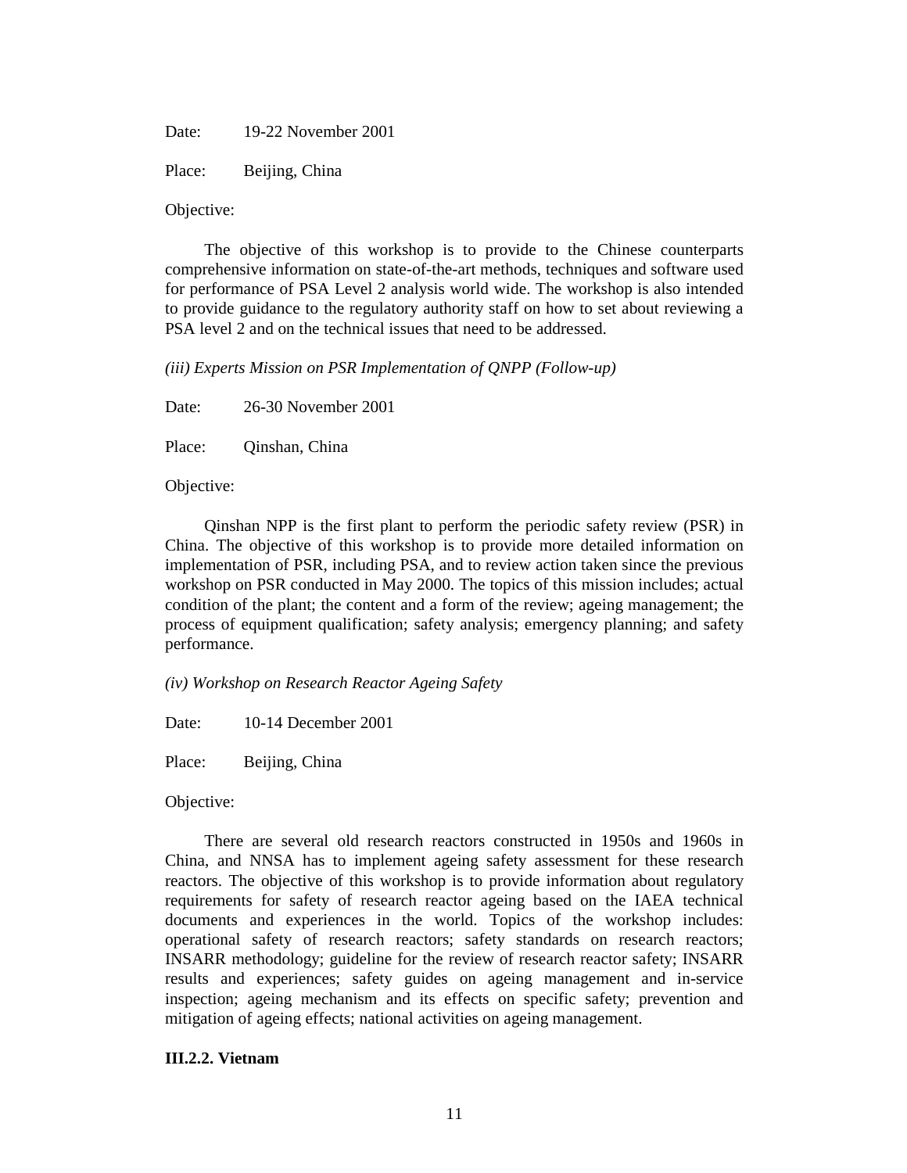Date: 19-22 November 2001

Place: Beijing, China

Objective:

The objective of this workshop is to provide to the Chinese counterparts comprehensive information on state-of-the-art methods, techniques and software used for performance of PSA Level 2 analysis world wide. The workshop is also intended to provide guidance to the regulatory authority staff on how to set about reviewing a PSA level 2 and on the technical issues that need to be addressed.

*(iii) Experts Mission on PSR Implementation of QNPP (Follow-up)* 

Date: 26-30 November 2001

Place: Qinshan, China

Objective:

Qinshan NPP is the first plant to perform the periodic safety review (PSR) in China. The objective of this workshop is to provide more detailed information on implementation of PSR, including PSA, and to review action taken since the previous workshop on PSR conducted in May 2000. The topics of this mission includes; actual condition of the plant; the content and a form of the review; ageing management; the process of equipment qualification; safety analysis; emergency planning; and safety performance.

*(iv) Workshop on Research Reactor Ageing Safety* 

Date: 10-14 December 2001

Place: Beijing, China

Objective:

There are several old research reactors constructed in 1950s and 1960s in China, and NNSA has to implement ageing safety assessment for these research reactors. The objective of this workshop is to provide information about regulatory requirements for safety of research reactor ageing based on the IAEA technical documents and experiences in the world. Topics of the workshop includes: operational safety of research reactors; safety standards on research reactors; INSARR methodology; guideline for the review of research reactor safety; INSARR results and experiences; safety guides on ageing management and in-service inspection; ageing mechanism and its effects on specific safety; prevention and mitigation of ageing effects; national activities on ageing management.

#### **III.2.2. Vietnam**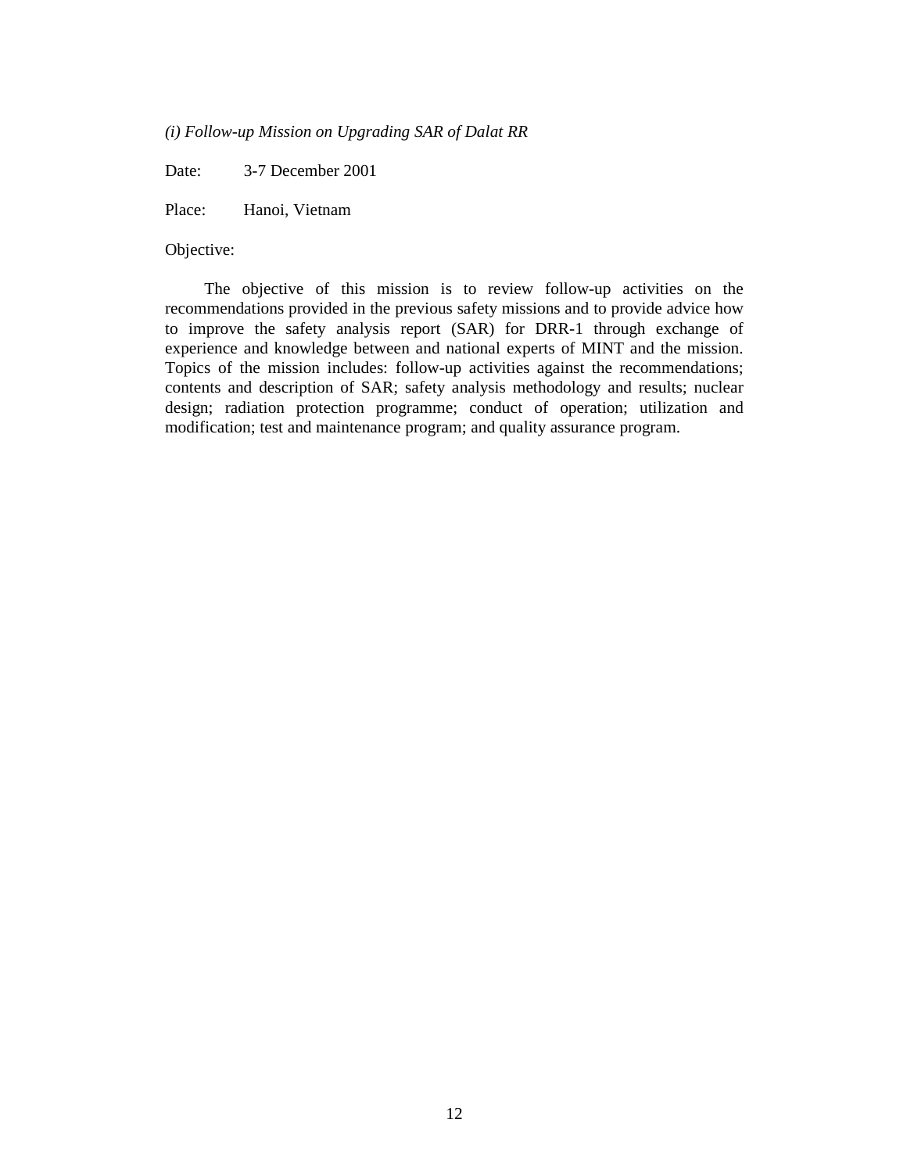*(i) Follow-up Mission on Upgrading SAR of Dalat RR* 

Date: 3-7 December 2001

Place: Hanoi, Vietnam

### Objective:

The objective of this mission is to review follow-up activities on the recommendations provided in the previous safety missions and to provide advice how to improve the safety analysis report (SAR) for DRR-1 through exchange of experience and knowledge between and national experts of MINT and the mission. Topics of the mission includes: follow-up activities against the recommendations; contents and description of SAR; safety analysis methodology and results; nuclear design; radiation protection programme; conduct of operation; utilization and modification; test and maintenance program; and quality assurance program.